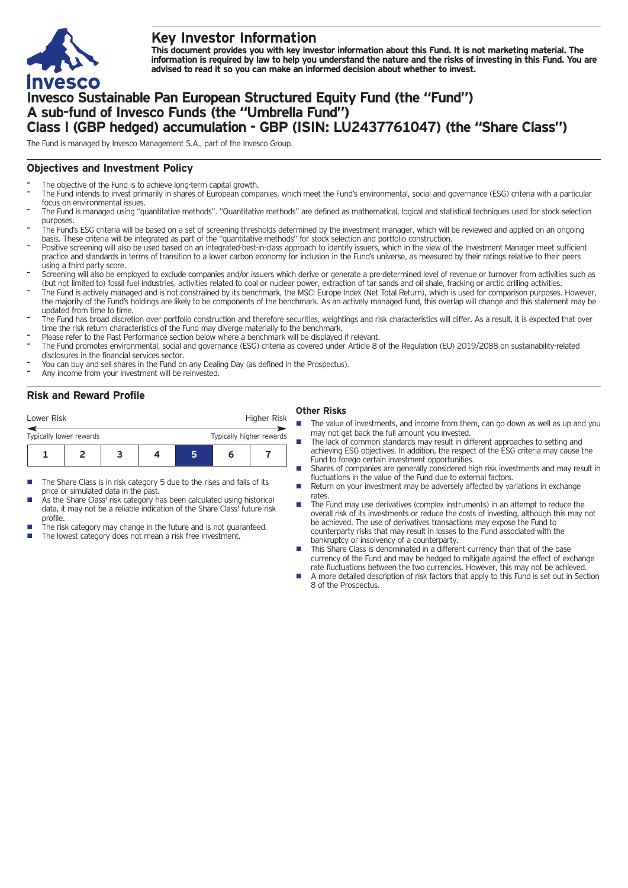

# **Key Investor Information**

This document provides you with key investor information about this Fund. It is not marketing material. The information is required by law to help you understand the nature and the risks of investing in this Fund. You are **advised to read it so you can make an informed decision about whether to invest.**

# **Invesco Sustainable Pan European Structured Equity Fund (the "Fund") A sub-fund of Invesco Funds (the "Umbrella Fund") Class I (GBP hedged) accumulation - GBP (ISIN: LU2437761047) (the "Share Class")**

The Fund is managed by Invesco Management S.A., part of the Invesco Group.

#### **Objectives and Investment Policy**

- The objective of the Fund is to achieve long-term capital growth.
- The Fund intends to invest primarily in shares of European companies, which meet the Fund's environmental, social and governance (ESG) criteria with a particular focus on environmental issues.
- The Fund is managed using "quantitative methods". "Quantitative methods" are defined as mathematical, logical and statistical techniques used for stock selection purposes
- The Fund's ESG criteria will be based on a set of screening thresholds determined by the investment manager, which will be reviewed and applied on an ongoing basis. These criteria will be integrated as part of the "quantitative methods" for stock selection and portfolio construction.
- Positive screening will also be used based on an integrated-best-in-class approach to identify issuers, which in the view of the Investment Manager meet sufficient practice and standards in terms of transition to a lower carbon economy for inclusion in the Fund's universe, as measured by their ratings relative to their peers using a third party score.
- Screening will also be employed to exclude companies and/or issuers which derive or generate a pre-determined level of revenue or turnover from activities such as (but not limited to) fossil fuel industries, activities related to coal or nuclear power, extraction of tar sands and oil shale, fracking or arctic drilling activities.
- The Fund is actively managed and is not constrained by its benchmark, the MSCI Europe Index (Net Total Return), which is used for comparison purposes. However, the majority of the Fund's holdings are likely to be components of the benchmark. As an actively managed fund, this overlap will change and this statement may be updated from time to time.
- The Fund has broad discretion over portfolio construction and therefore securities, weightings and risk characteristics will differ. As a result, it is expected that over time the risk return characteristics of the Fund may diverge materially to the benchmark.
- Please refer to the Past Performance section below where a benchmark will be displayed if relevant.
- The Fund promotes environmental, social and governance (ESG) criteria as covered under Article 8 of the Regulation (EU) 2019/2088 on sustainability-related disclosures in the financial services sector.
- You can buy and sell shares in the Fund on any Dealing Day (as defined in the Prospectus).
- Any income from your investment will be reinvested.

### **Risk and Reward Profile**

| Lower Risk                                          |  |  | Higher Risk |  |  |  |  |
|-----------------------------------------------------|--|--|-------------|--|--|--|--|
| Typically higher rewards<br>Typically lower rewards |  |  |             |  |  |  |  |
|                                                     |  |  |             |  |  |  |  |

- The Share Class is in risk category 5 due to the rises and falls of its price or simulated data in the past.
- As the Share Class' risk category has been calculated using historical data, it may not be a reliable indication of the Share Class' future risk profile.
- The risk category may change in the future and is not guaranteed.
- The lowest category does not mean a risk free investment.

## **Other Risks**

- The value of investments, and income from them, can go down as well as up and you may not get back the full amount you invested.
- The lack of common standards may result in different approaches to setting and achieving ESG objectives. In addition, the respect of the ESG criteria may cause the Fund to forego certain investment opportunities.
- Shares of companies are generally considered high risk investments and may result in fluctuations in the value of the Fund due to external factors.
- n Return on your investment may be adversely affected by variations in exchange rates.
- The Fund may use derivatives (complex instruments) in an attempt to reduce the overall risk of its investments or reduce the costs of investing, although this may not be achieved. The use of derivatives transactions may expose the Fund to counterparty risks that may result in losses to the Fund associated with the bankruptcy or insolvency of a counterparty.
- This Share Class is denominated in a different currency than that of the base currency of the Fund and may be hedged to mitigate against the effect of exchange rate fluctuations between the two currencies. However, this may not be achieved.
- A more detailed description of risk factors that apply to this Fund is set out in Section 8 of the Prospectus.